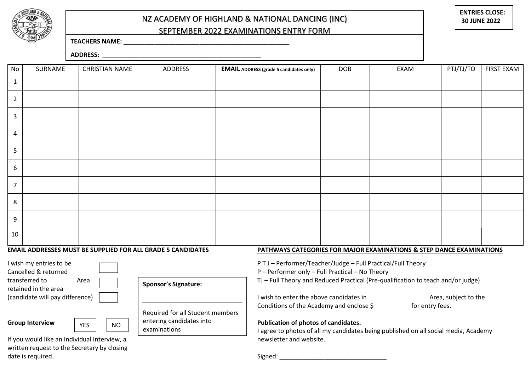

## NZ ACADEMY OF HIGHLAND & NATIONAL DANCING (INC) SEPTEMBER 2022 EXAMINATIONS ENTRY FORM

**ENTRIES CLOSE: 30 JUNE 2022**

## **TEACHERS NAME: \_\_\_\_\_\_\_\_\_\_\_\_\_\_\_\_\_\_\_\_\_\_\_\_\_\_\_\_\_\_\_\_\_\_\_\_\_\_\_\_\_\_\_\_\_\_\_\_**

**ADDRESS: \_\_\_\_\_\_\_\_\_\_\_\_\_\_\_\_\_\_\_\_\_\_\_\_\_\_\_\_\_\_\_\_\_\_\_\_\_\_\_\_\_\_\_\_\_\_**

| No             | SURNAME                                                                                                                             | <b>CHRISTIAN NAME</b> | ADDRESS | <b>EMAIL ADDRESS (grade 5 candidates only)</b> | <b>DOB</b> | EXAM | PTJ/TJ/TO | FIRST EXAM |
|----------------|-------------------------------------------------------------------------------------------------------------------------------------|-----------------------|---------|------------------------------------------------|------------|------|-----------|------------|
| $\mathbf{1}$   |                                                                                                                                     |                       |         |                                                |            |      |           |            |
| $\overline{2}$ |                                                                                                                                     |                       |         |                                                |            |      |           |            |
| 3              |                                                                                                                                     |                       |         |                                                |            |      |           |            |
| $\overline{4}$ |                                                                                                                                     |                       |         |                                                |            |      |           |            |
| 5              |                                                                                                                                     |                       |         |                                                |            |      |           |            |
| 6              |                                                                                                                                     |                       |         |                                                |            |      |           |            |
| $\overline{7}$ |                                                                                                                                     |                       |         |                                                |            |      |           |            |
| 8              |                                                                                                                                     |                       |         |                                                |            |      |           |            |
| 9              |                                                                                                                                     |                       |         |                                                |            |      |           |            |
| 10             |                                                                                                                                     |                       |         |                                                |            |      |           |            |
|                | EMAIL ADDRESSES MUST BE SUPPLIED FOR ALL GRADE 5 CANDIDATES<br>PATHWAYS CATEGORIES FOR MAJOR EXAMINATIONS & STEP DANCE EXAMINATIONS |                       |         |                                                |            |      |           |            |

retained in the area



**Sponsor's Signature:**

**Group Interview Publication of photos of candidates.**  Required for all Student members entering candidates into examinations

I wish my entries to be  $\Box$ 

Cancelled & returned P – Performer only – Full Practical – No Theory

transferred to Area  $\Box$  General Simulation of Full Theory and Reduced Practical (Pre-qualification to teach and/or judge)

(candidate will pay difference) I wish to enter the above candidates in Area, subject to the Conditions of the Academy and enclose \$ for entry fees.

I agree to photos of all my candidates being published on all social media, Academy

If you would like an Individual Interview, a newsletter and website. written request to the Secretary by closing date is required. The same state is required.

YES